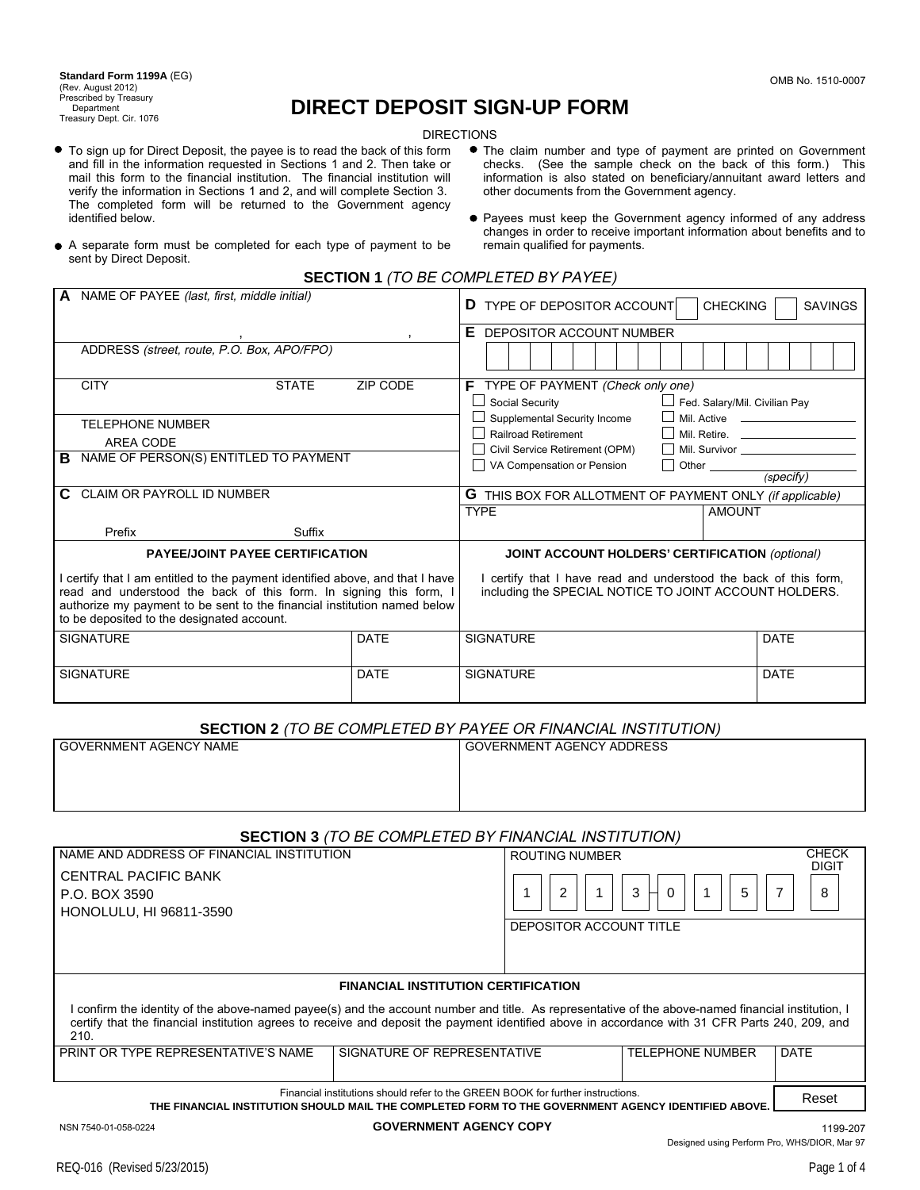**Standard Form 1199A** (EG) (Rev. August 2012) Prescribed by Treasury Department Treasury Dept. Cir. 1076

# **DIRECT DEPOSIT SIGN-UP FORM**

DIRECTIONS

- To sign up for Direct Deposit, the payee is to read the back of this form and fill in the information requested in Sections 1 and 2. Then take or mail this form to the financial institution. The financial institution will verify the information in Sections 1 and 2, and will complete Section 3. The completed form will be returned to the Government agency identified below.
- The claim number and type of payment are printed on Government checks. (See the sample check on the back of this form.) This information is also stated on beneficiary/annuitant award letters and other documents from the Government agency.
- Payees must keep the Government agency informed of any address changes in order to receive important information about benefits and to remain qualified for payments.
- A separate form must be completed for each type of payment to be sent by Direct Deposit.
	- **SECTION 1** (TO BE COMPLETED BY PAYEE)

| <b>A</b> NAME OF PAYEE (last, first, middle initial)                                                                                                                                                                                                                        |                 | <b>CHECKING</b><br><b>D</b> TYPE OF DEPOSITOR ACCOUNT<br><b>SAVINGS</b>                                                    |  |
|-----------------------------------------------------------------------------------------------------------------------------------------------------------------------------------------------------------------------------------------------------------------------------|-----------------|----------------------------------------------------------------------------------------------------------------------------|--|
| $\cdot$                                                                                                                                                                                                                                                                     |                 | Е<br>DEPOSITOR ACCOUNT NUMBER                                                                                              |  |
| ADDRESS (street, route, P.O. Box, APO/FPO)                                                                                                                                                                                                                                  |                 |                                                                                                                            |  |
| <b>CITY</b><br><b>STATE</b>                                                                                                                                                                                                                                                 | <b>ZIP CODE</b> | $\mathsf F$ TYPE OF PAYMENT (Check only one)<br>Fed. Salary/Mil. Civilian Pay<br>□ Social Security                         |  |
| <b>TELEPHONE NUMBER</b>                                                                                                                                                                                                                                                     |                 | $\Box$ Supplemental Security Income                                                                                        |  |
| AREA CODE                                                                                                                                                                                                                                                                   |                 | Railroad Retirement                                                                                                        |  |
| NAME OF PERSON(S) ENTITLED TO PAYMENT<br>в                                                                                                                                                                                                                                  |                 | Civil Service Retirement (OPM)                                                                                             |  |
|                                                                                                                                                                                                                                                                             |                 | VA Compensation or Pension<br>(specify)                                                                                    |  |
| <b>CLAIM OR PAYROLL ID NUMBER</b><br>C.                                                                                                                                                                                                                                     |                 | <b>G</b> THIS BOX FOR ALLOTMENT OF PAYMENT ONLY (if applicable)                                                            |  |
|                                                                                                                                                                                                                                                                             |                 | <b>TYPE</b><br><b>AMOUNT</b>                                                                                               |  |
| Prefix<br>Suffix                                                                                                                                                                                                                                                            |                 |                                                                                                                            |  |
| <b>PAYEE/JOINT PAYEE CERTIFICATION</b>                                                                                                                                                                                                                                      |                 | <b>JOINT ACCOUNT HOLDERS' CERTIFICATION (optional)</b>                                                                     |  |
| certify that I am entitled to the payment identified above, and that I have<br>read and understood the back of this form. In signing this form, I<br>authorize my payment to be sent to the financial institution named below<br>to be deposited to the designated account. |                 | I certify that I have read and understood the back of this form,<br>including the SPECIAL NOTICE TO JOINT ACCOUNT HOLDERS. |  |
| <b>SIGNATURE</b>                                                                                                                                                                                                                                                            | <b>DATE</b>     | <b>SIGNATURE</b><br><b>DATE</b>                                                                                            |  |
| <b>SIGNATURE</b>                                                                                                                                                                                                                                                            | <b>DATE</b>     | <b>DATE</b><br><b>SIGNATURE</b>                                                                                            |  |

# **SECTION 2** (TO BE COMPLETED BY PAYEE OR FINANCIAL INSTITUTION)

| <b>GOVERNMENT AGENCY NAME</b>                                                                                                                                                                                                                                                                                 | <b>GOVERNMENT AGENCY ADDRESS</b>                                      |  |  |  |  |  |
|---------------------------------------------------------------------------------------------------------------------------------------------------------------------------------------------------------------------------------------------------------------------------------------------------------------|-----------------------------------------------------------------------|--|--|--|--|--|
| <b>SECTION 3</b> (TO BE COMPLETED BY FINANCIAL INSTITUTION)                                                                                                                                                                                                                                                   |                                                                       |  |  |  |  |  |
| NAME AND ADDRESS OF FINANCIAL INSTITUTION                                                                                                                                                                                                                                                                     | <b>CHECK</b><br><b>ROUTING NUMBER</b>                                 |  |  |  |  |  |
| <b>CENTRAL PACIFIC BANK</b><br>P.O. BOX 3590<br>HONOLULU, HI 96811-3590                                                                                                                                                                                                                                       | <b>DIGIT</b><br>$\overline{2}$<br>3<br>5<br>8<br>0                    |  |  |  |  |  |
|                                                                                                                                                                                                                                                                                                               | DEPOSITOR ACCOUNT TITLE                                               |  |  |  |  |  |
| <b>FINANCIAL INSTITUTION CERTIFICATION</b>                                                                                                                                                                                                                                                                    |                                                                       |  |  |  |  |  |
| I confirm the identity of the above-named payee(s) and the account number and title. As representative of the above-named financial institution, I<br>certify that the financial institution agrees to receive and deposit the payment identified above in accordance with 31 CFR Parts 240, 209, and<br>210. |                                                                       |  |  |  |  |  |
| PRINT OR TYPE REPRESENTATIVE'S NAME                                                                                                                                                                                                                                                                           | <b>TELEPHONE NUMBER</b><br>SIGNATURE OF REPRESENTATIVE<br><b>DATE</b> |  |  |  |  |  |
| Financial institutions should refer to the GREEN BOOK for further instructions.<br>THE FINANCIAL INSTITUTION SHOULD MAIL THE COMPLETED FORM TO THE GOVERNMENT AGENCY IDENTIFIED ABOVE.                                                                                                                        |                                                                       |  |  |  |  |  |

NSN 7540-01-058-0224 **GOVERNMENT AGENCY COPY** 1199-207 Designed using Perform Pro, WHS/DIOR, Mar 97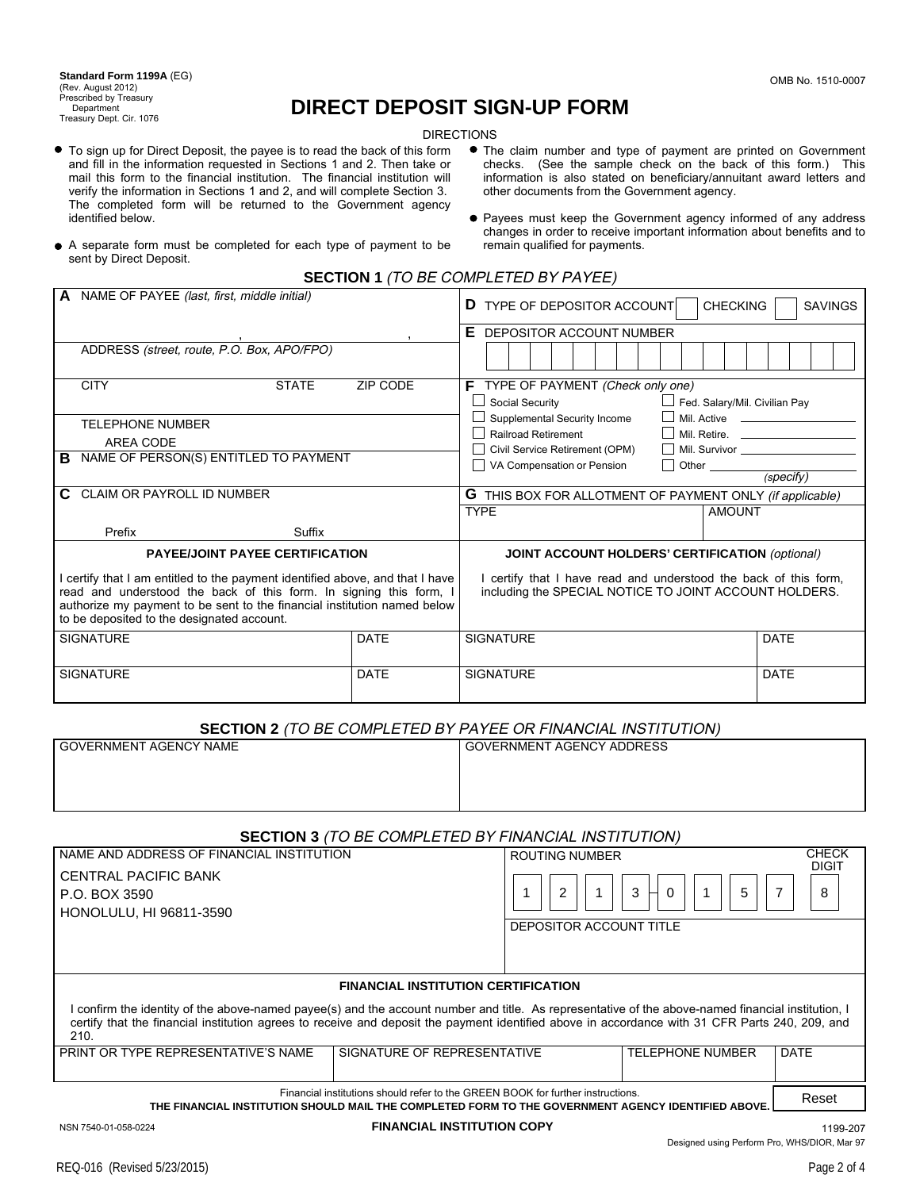**Standard Form 1199A** (EG) (Rev. August 2012) Prescribed by Treasury Department Treasury Dept. Cir. 1076

# **DIRECT DEPOSIT SIGN-UP FORM**

DIRECTIONS

- To sign up for Direct Deposit, the payee is to read the back of this form and fill in the information requested in Sections 1 and 2. Then take or mail this form to the financial institution. The financial institution will verify the information in Sections 1 and 2, and will complete Section 3. The completed form will be returned to the Government agency identified below.
- The claim number and type of payment are printed on Government checks. (See the sample check on the back of this form.) This information is also stated on beneficiary/annuitant award letters and other documents from the Government agency.
- Payees must keep the Government agency informed of any address changes in order to receive important information about benefits and to remain qualified for payments.
- A separate form must be completed for each type of payment to be sent by Direct Deposit.
	- **SECTION 1** (TO BE COMPLETED BY PAYEE)

| <b>A</b> NAME OF PAYEE (last, first, middle initial)                                                                                                                                                                                                                          |                 | <b>CHECKING</b><br><b>D</b> TYPE OF DEPOSITOR ACCOUNT<br><b>SAVINGS</b>                                                    |  |
|-------------------------------------------------------------------------------------------------------------------------------------------------------------------------------------------------------------------------------------------------------------------------------|-----------------|----------------------------------------------------------------------------------------------------------------------------|--|
|                                                                                                                                                                                                                                                                               |                 | Е.<br>DEPOSITOR ACCOUNT NUMBER                                                                                             |  |
| ADDRESS (street, route, P.O. Box, APO/FPO)                                                                                                                                                                                                                                    |                 |                                                                                                                            |  |
| <b>CITY</b><br><b>STATE</b>                                                                                                                                                                                                                                                   | <b>ZIP CODE</b> | $\mathsf F$ TYPE OF PAYMENT (Check only one)                                                                               |  |
|                                                                                                                                                                                                                                                                               |                 | Fed. Salary/Mil. Civilian Pay<br>Social Security                                                                           |  |
| <b>TELEPHONE NUMBER</b>                                                                                                                                                                                                                                                       |                 | $\Box$ Supplemental Security Income                                                                                        |  |
| AREA CODE                                                                                                                                                                                                                                                                     |                 | <b>Railroad Retirement</b><br>Mil. Retire.                                                                                 |  |
| NAME OF PERSON(S) ENTITLED TO PAYMENT<br>в                                                                                                                                                                                                                                    |                 | Civil Service Retirement (OPM)                                                                                             |  |
|                                                                                                                                                                                                                                                                               |                 | Other (specify)<br>VA Compensation or Pension                                                                              |  |
| <b>CLAIM OR PAYROLL ID NUMBER</b><br>C.                                                                                                                                                                                                                                       |                 | G THIS BOX FOR ALLOTMENT OF PAYMENT ONLY (if applicable)                                                                   |  |
|                                                                                                                                                                                                                                                                               |                 | <b>TYPE</b><br><b>AMOUNT</b>                                                                                               |  |
| Prefix<br>Suffix                                                                                                                                                                                                                                                              |                 |                                                                                                                            |  |
| <b>PAYEE/JOINT PAYEE CERTIFICATION</b>                                                                                                                                                                                                                                        |                 | <b>JOINT ACCOUNT HOLDERS' CERTIFICATION (optional)</b>                                                                     |  |
| I certify that I am entitled to the payment identified above, and that I have<br>read and understood the back of this form. In signing this form, I<br>authorize my payment to be sent to the financial institution named below<br>to be deposited to the designated account. |                 | I certify that I have read and understood the back of this form,<br>including the SPECIAL NOTICE TO JOINT ACCOUNT HOLDERS. |  |
| <b>SIGNATURE</b>                                                                                                                                                                                                                                                              | <b>DATE</b>     | <b>SIGNATURE</b><br><b>DATE</b>                                                                                            |  |
| <b>SIGNATURE</b>                                                                                                                                                                                                                                                              | <b>DATE</b>     | <b>DATE</b><br><b>SIGNATURE</b>                                                                                            |  |

# **SECTION 2** (TO BE COMPLETED BY PAYEE OR FINANCIAL INSTITUTION)

| <b>GOVERNMENT AGENCY NAME</b>                                                                                                                                                                                                                                                                                 | <b>GOVERNMENT AGENCY ADDRESS</b>                                      |  |  |  |  |  |
|---------------------------------------------------------------------------------------------------------------------------------------------------------------------------------------------------------------------------------------------------------------------------------------------------------------|-----------------------------------------------------------------------|--|--|--|--|--|
| <b>SECTION 3</b> (TO BE COMPLETED BY FINANCIAL INSTITUTION)                                                                                                                                                                                                                                                   |                                                                       |  |  |  |  |  |
| NAME AND ADDRESS OF FINANCIAL INSTITUTION                                                                                                                                                                                                                                                                     | <b>CHECK</b><br><b>ROUTING NUMBER</b>                                 |  |  |  |  |  |
| <b>CENTRAL PACIFIC BANK</b><br>P.O. BOX 3590<br><b>HONOLULU, HI 96811-3590</b>                                                                                                                                                                                                                                | <b>DIGIT</b><br>$\overline{2}$<br>3<br>5<br>8<br>0                    |  |  |  |  |  |
|                                                                                                                                                                                                                                                                                                               | DEPOSITOR ACCOUNT TITLE                                               |  |  |  |  |  |
| <b>FINANCIAL INSTITUTION CERTIFICATION</b>                                                                                                                                                                                                                                                                    |                                                                       |  |  |  |  |  |
| I confirm the identity of the above-named payee(s) and the account number and title. As representative of the above-named financial institution, I<br>certify that the financial institution agrees to receive and deposit the payment identified above in accordance with 31 CFR Parts 240, 209, and<br>210. |                                                                       |  |  |  |  |  |
| PRINT OR TYPE REPRESENTATIVE'S NAME                                                                                                                                                                                                                                                                           | SIGNATURE OF REPRESENTATIVE<br><b>TELEPHONE NUMBER</b><br><b>DATE</b> |  |  |  |  |  |
| Financial institutions should refer to the GREEN BOOK for further instructions.<br>THE FINANCIAL INSTITUTION SHOULD MAIL THE COMPLETED FORM TO THE GOVERNMENT AGENCY IDENTIFIED ABOVE.                                                                                                                        |                                                                       |  |  |  |  |  |

### NSN 7540-01-058-0224 **FINANCIAL INSTITUTION COPY** 1199-207

Designed using Perform Pro, WHS/DIOR, Mar 97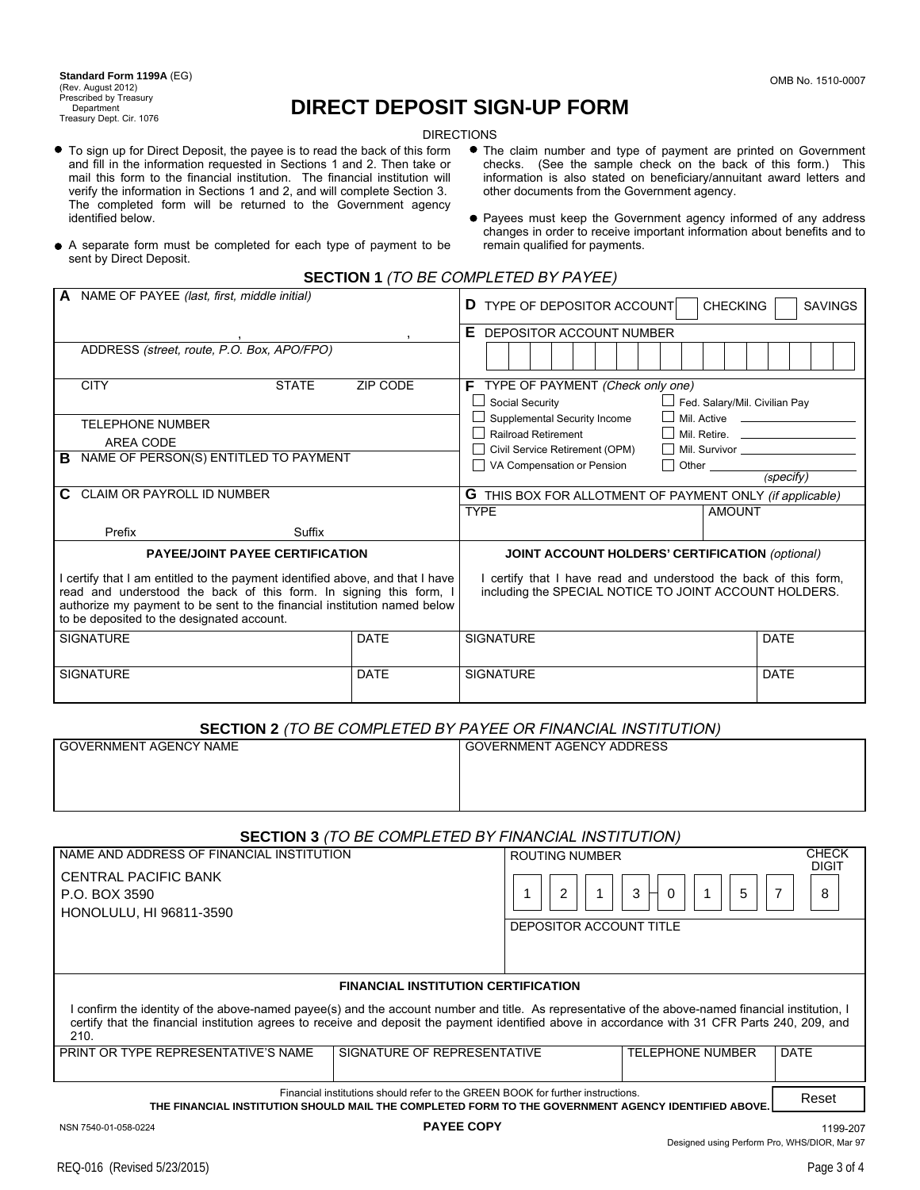**Standard Form 1199A** (EG) (Rev. August 2012) Prescribed by Treasury **Department** Treasury Dept. Cir. 1076

# **DIRECT DEPOSIT SIGN-UP FORM**

DIRECTIONS

- To sign up for Direct Deposit, the payee is to read the back of this form and fill in the information requested in Sections 1 and 2. Then take or mail this form to the financial institution. The financial institution will verify the information in Sections 1 and 2, and will complete Section 3. The completed form will be returned to the Government agency identified below.
- The claim number and type of payment are printed on Government checks. (See the sample check on the back of this form.) This information is also stated on beneficiary/annuitant award letters and other documents from the Government agency.
- Payees must keep the Government agency informed of any address changes in order to receive important information about benefits and to remain qualified for payments.
- A separate form must be completed for each type of payment to be sent by Direct Deposit.
	- **SECTION 1** (TO BE COMPLETED BY PAYEE)

| <b>A</b> NAME OF PAYEE (last, first, middle initial)                                                                                                                                                                                                                          |             | <b>CHECKING</b><br><b>D</b> TYPE OF DEPOSITOR ACCOUNT<br><b>SAVINGS</b>                                                    |  |
|-------------------------------------------------------------------------------------------------------------------------------------------------------------------------------------------------------------------------------------------------------------------------------|-------------|----------------------------------------------------------------------------------------------------------------------------|--|
|                                                                                                                                                                                                                                                                               |             | Е<br>DEPOSITOR ACCOUNT NUMBER                                                                                              |  |
| ADDRESS (street, route, P.O. Box, APO/FPO)                                                                                                                                                                                                                                    |             |                                                                                                                            |  |
| <b>CITY</b><br><b>STATE</b>                                                                                                                                                                                                                                                   | ZIP CODE    | $\mathsf F$ TYPE OF PAYMENT (Check only one)                                                                               |  |
|                                                                                                                                                                                                                                                                               |             | $\Box$ Social Security<br>Fed. Salary/Mil. Civilian Pay                                                                    |  |
| <b>TELEPHONE NUMBER</b>                                                                                                                                                                                                                                                       |             | Supplemental Security Income                                                                                               |  |
| AREA CODE                                                                                                                                                                                                                                                                     |             | Railroad Retirement                                                                                                        |  |
| NAME OF PERSON(S) ENTITLED TO PAYMENT<br>в                                                                                                                                                                                                                                    |             | Civil Service Retirement (OPM)<br>VA Compensation or Pension                                                               |  |
|                                                                                                                                                                                                                                                                               |             | $\Box$ Other $\qquad \qquad \qquad$ (specify)                                                                              |  |
| C CLAIM OR PAYROLL ID NUMBER                                                                                                                                                                                                                                                  |             | <b>G</b> THIS BOX FOR ALLOTMENT OF PAYMENT ONLY (if applicable)                                                            |  |
|                                                                                                                                                                                                                                                                               |             | <b>TYPE</b><br><b>AMOUNT</b>                                                                                               |  |
| Prefix<br>Suffix                                                                                                                                                                                                                                                              |             |                                                                                                                            |  |
| <b>PAYEE/JOINT PAYEE CERTIFICATION</b>                                                                                                                                                                                                                                        |             | <b>JOINT ACCOUNT HOLDERS' CERTIFICATION (optional)</b>                                                                     |  |
| I certify that I am entitled to the payment identified above, and that I have<br>read and understood the back of this form. In signing this form, I<br>authorize my payment to be sent to the financial institution named below<br>to be deposited to the designated account. |             | I certify that I have read and understood the back of this form,<br>including the SPECIAL NOTICE TO JOINT ACCOUNT HOLDERS. |  |
| <b>SIGNATURE</b>                                                                                                                                                                                                                                                              | <b>DATE</b> | <b>SIGNATURE</b><br><b>DATE</b>                                                                                            |  |
| <b>SIGNATURE</b>                                                                                                                                                                                                                                                              | <b>DATE</b> | <b>SIGNATURE</b><br><b>DATE</b>                                                                                            |  |

# **SECTION 2** (TO BE COMPLETED BY PAYEE OR FINANCIAL INSTITUTION)

| <b>GOVERNMENT AGENCY NAME</b>                                                                                                                                                                                                                                                                                 | <b>GOVERNMENT AGENCY ADDRESS</b> |                                        |  |  |  |  |
|---------------------------------------------------------------------------------------------------------------------------------------------------------------------------------------------------------------------------------------------------------------------------------------------------------------|----------------------------------|----------------------------------------|--|--|--|--|
|                                                                                                                                                                                                                                                                                                               |                                  |                                        |  |  |  |  |
| <b>SECTION 3</b> (TO BE COMPLETED BY FINANCIAL INSTITUTION)                                                                                                                                                                                                                                                   |                                  |                                        |  |  |  |  |
| NAME AND ADDRESS OF FINANCIAL INSTITUTION                                                                                                                                                                                                                                                                     | <b>ROUTING NUMBER</b>            | <b>CHECK</b><br><b>DIGIT</b>           |  |  |  |  |
| CENTRAL PACIFIC BANK<br>P.O. BOX 3590<br>HONOLULU, HI 96811-3590                                                                                                                                                                                                                                              | 2<br>3                           | 5<br>8<br>$\Omega$                     |  |  |  |  |
|                                                                                                                                                                                                                                                                                                               | DEPOSITOR ACCOUNT TITLE          |                                        |  |  |  |  |
| <b>FINANCIAL INSTITUTION CERTIFICATION</b>                                                                                                                                                                                                                                                                    |                                  |                                        |  |  |  |  |
| I confirm the identity of the above-named payee(s) and the account number and title. As representative of the above-named financial institution, I<br>certify that the financial institution agrees to receive and deposit the payment identified above in accordance with 31 CFR Parts 240, 209, and<br>210. |                                  |                                        |  |  |  |  |
| PRINT OR TYPE REPRESENTATIVE'S NAME                                                                                                                                                                                                                                                                           | SIGNATURE OF REPRESENTATIVE      | <b>TELEPHONE NUMBER</b><br><b>DATE</b> |  |  |  |  |
| Financial institutions should refer to the GREEN BOOK for further instructions.<br>THE FINANCIAL INSTITUTION SHOULD MAIL THE COMPLETED FORM TO THE GOVERNMENT AGENCY IDENTIFIED ABOVE.                                                                                                                        |                                  |                                        |  |  |  |  |

NSN 7540-01-058-0224 **PAYEE COPY** 1199-207 Designed using Perform Pro, WHS/DIOR, Mar 97